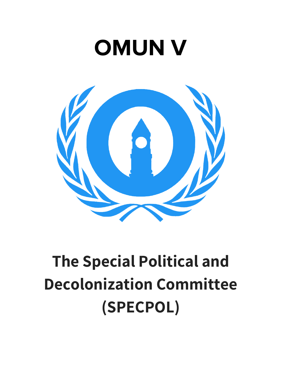# **OMUN V**



## **The Special Political and Decolonization Committee (SPECPOL)**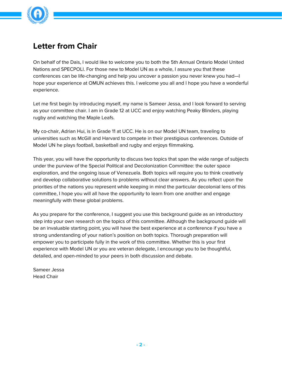

## **Letter from Chair**

On behalf of the Dais, I would like to welcome you to both the 5th Annual Ontario Model United Nations and SPECPOLl. For those new to Model UN as a whole, I assure you that these conferences can be life-changing and help you uncover a passion you never knew you had—I hope your experience at OMUN achieves this. I welcome you all and I hope you have a wonderful experience.

Let me first begin by introducing myself, my name is Sameer Jessa, and I look forward to serving as your committee chair. I am in Grade 12 at UCC and enjoy watching Peaky Blinders, playing rugby and watching the Maple Leafs.

My co-chair, Adrian Hui, is in Grade 11 at UCC. He is on our Model UN team, traveling to universities such as McGill and Harvard to compete in their prestigious conferences. Outside of Model UN he plays football, basketball and rugby and enjoys filmmaking.

This year, you will have the opportunity to discuss two topics that span the wide range of subjects under the purview of the Special Political and Decolonization Committee: the outer space exploration, and the ongoing issue of Venezuela. Both topics will require you to think creatively and develop collaborative solutions to problems without clear answers. As you reflect upon the priorities of the nations you represent while keeping in mind the particular decolonial lens of this committee, I hope you will all have the opportunity to learn from one another and engage meaningfully with these global problems.

As you prepare for the conference, I suggest you use this background guide as an introductory step into your own research on the topics of this committee. Although the background guide will be an invaluable starting point, you will have the best experience at a conference if you have a strong understanding of your nation's position on both topics. Thorough preparation will empower you to participate fully in the work of this committee. Whether this is your first experience with Model UN or you are veteran delegate, I encourage you to be thoughtful, detailed, and open-minded to your peers in both discussion and debate.

Sameer Jessa Head Chair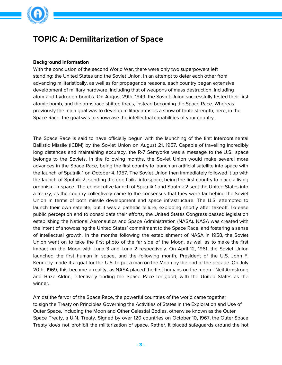

## **TOPIC A: Demilitarization of Space**

#### **Background Information**

With the conclusion of the second World War, there were only two superpowers left standing: the United States and the Soviet Union. In an attempt to deter each other from advancing militaristically, as well as for propaganda reasons, each country began extensive development of military hardware, including that of weapons of mass destruction, including atom and hydrogen bombs. On August 29th, 1949, the Soviet Union successfully tested their first atomic bomb, and the arms race shifted focus, instead becoming the Space Race. Whereas previously the main goal was to develop military arms as a show of brute strength, here, in the Space Race, the goal was to showcase the intellectual capabilities of your country.

The Space Race is said to have officially begun with the launching of the first Intercontinental Ballistic Missile (ICBM) by the Soviet Union on August 21, 1957. Capable of travelling incredibly long distances and maintaining accuracy, the R-7 Semyorka was a message to the U.S.: space belongs to the Soviets. In the following months, the Soviet Union would make several more advances in the Space Race, being the first country to launch an artificial satellite into space with the launch of Sputnik 1 on October 4, 1957. The Soviet Union then immediately followed it up with the launch of Sputnik 2, sending the dog Laika into space, being the first country to place a living organism in space. The consecutive launch of Sputnik 1 and Sputnik 2 sent the United States into a frenzy, as the country collectively came to the consensus that they were far behind the Soviet Union in terms of both missile development and space infrastructure. The U.S. attempted to launch their own satellite, but it was a pathetic failure, exploding shortly after takeoff. To ease public perception and to consolidate their efforts, the United States Congress passed legislation establishing the National Aeronautics and Space Administration (NASA). NASA was created with the intent of showcasing the United States' commitment to the Space Race, and fostering a sense of intellectual growth. In the months following the establishment of NASA in 1958, the Soviet Union went on to take the first photo of the far side of the Moon, as well as to make the first impact on the Moon with Luna 3 and Luna 2 respectively. On April 12, 1961, the Soviet Union launched the first human in space, and the following month, President of the U.S. John F. Kennedy made it a goal for the U.S. to put a man on the Moon by the end of the decade. On July 20th, 1969, this became a reality, as NASA placed the first humans on the moon - Neil Armstrong and Buzz Aldrin, effectively ending the Space Race for good, with the United States as the winner.

Amidst the fervor of the Space Race, the powerful countries of the world came together to sign the Treaty on Principles Governing the Activities of States in the Exploration and Use of Outer Space, including the Moon and Other Celestial Bodies, otherwise known as the Outer Space Treaty, a U.N. Treaty. Signed by over 120 countries on October 10, 1967, the Outer Space Treaty does not prohibit the militarization of space. Rather, it placed safeguards around the hot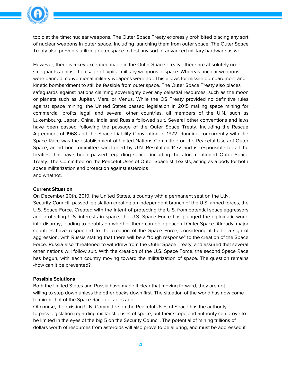

topic at the time: nuclear weapons. The Outer Space Treaty expressly prohibited placing any sort of nuclear weapons in outer space, including launching them from outer space. The Outer Space Treaty also prevents utilizing outer space to test any sort of advanced military hardware as well.

However, there is a key exception made in the Outer Space Treaty - there are absolutely no safeguards against the usage of typical military weapons in space. Whereas nuclear weapons were banned, conventional military weapons were not. This allows for missile bombardment and kinetic bombardment to still be feasible from outer space. The Outer Space Treaty also places safeguards against nations claiming sovereignty over any celestial resources, such as the moon or planets such as Jupiter, Mars, or Venus. While the OS Treaty provided no definitive rules against space mining, the United States passed legislation in 2015 making space mining for commercial profits legal, and several other countries, all members of the U.N, such as Luxembourg, Japan, China, India and Russia followed suit. Several other conventions and laws have been passed following the passage of the Outer Space Treaty, including the Rescue Agreement of 1968 and the Space Liability Convention of 1972. Running concurrently with the Space Race was the establishment of United Nations Committee on the Peaceful Uses of Outer Space, an ad hoc committee sanctioned by U.N. Resolution 1472 and is responsible for all the treaties that have been passed regarding space, including the aforementioned Outer Space Treaty. The Committee on the Peaceful Uses of Outer Space still exists, acting as a body for both space militarization and protection against asteroids and whatnot.

#### **Current Situation**

On December 20th, 2019, the United States, a country with a permanent seat on the U.N.

Security Council, passed legislation creating an independent branch of the U.S. armed forces, the U.S. Space Force. Created with the intent of protecting the U.S. from potential space aggressors and protecting U.S. interests in space, the U.S. Space Force has plunged the diplomatic world into disarray, leading to doubts on whether there can be a peaceful Outer Space. Already, major countries have responded to the creation of the Space Force, considering it to be a sign of aggression, with Russia stating that there will be a "tough response" to the creation of the Space Force. Russia also threatened to withdraw from the Outer Space Treaty, and assured that several other nations will follow suit. With the creation of the U.S. Space Force, the second Space Race has begun, with each country moving toward the militarization of space. The question remains -how can it be prevented?

#### **Possible Solutions**

Both the United States and Russia have made it clear that moving forward, they are not willing to step down unless the other backs down first. The situation of the world has now come to mirror that of the Space Race decades ago.

Of course, the existing U.N. Committee on the Peaceful Uses of Space has the authority to pass legislation regarding militaristic uses of space, but their scope and authority can prove to be limited in the eyes of the big 5 on the Security Council. The potential of mining trillions of dollars worth of resources from asteroids will also prove to be alluring, and must be addressed if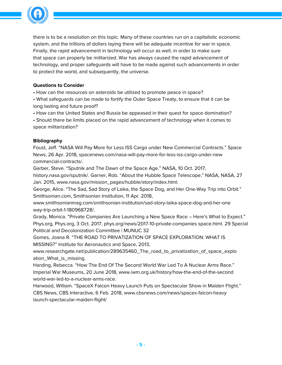

there is to be a resolution on this topic. Many of these countries run on a capitalistic economic system, and the trillions of dollars laying there will be adequate incentive for war in space. Finally, the rapid advancement in technology will occur as well, in order to make sure that space can properly be militarized. War has always caused the rapid advancement of technology, and proper safeguards will have to be made against such advancements in order to protect the world, and subsequently, the universe.

#### **Questions to Consider**

• How can the resources on asteroids be utilized to promote peace in space?

• What safeguards can be made to fortify the Outer Space Treaty, to ensure that it can be long lasting and future proof?

• How can the United States and Russia be appeased in their quest for space domination?

• Should there be limits placed on the rapid advancement of technology when it comes to space militarization?

#### **Bibliography**

Foust, Jeff. "NASA Will Pay More for Less ISS Cargo under New Commercial Contracts." Space News, 26 Apr. 2018, spacenews.com/nasa-will-pay-more-for-less-iss-cargo-under-new commercial-contracts/.

Garber, Steve. "Sputnik and The Dawn of the Space Age." NASA, 10 Oct. 2017,

history.nasa.gov/sputnik/. Garner, Rob. "About the Hubble Space Telescope." NASA, NASA, 27 Jan. 2015, www.nasa.gov/mission\_pages/hubble/story/index.html.

George, Alice. "The Sad, Sad Story of Laika, the Space Dog, and Her One-Way Trip into Orbit." Smithsonian.com, Smithsonian Institution, 11 Apr. 2018,

www.smithsonianmag.com/smithsonian-institution/sad-story-laika-space-dog-and-her-one way-trip-orbit-1-180968728/.

Grady, Monica. "Private Companies Are Launching a New Space Race – Here's What to Expect." Phys.org, Phys.org, 3 Oct. 2017, phys.org/news/2017-10-private-companies space.html. 29 Special Political and Decolonization Committee | MUNUC 32

Gomes, Joana R. "THE ROAD TO PRIVATIZATION OF SPACE EXPLORATION: WHAT IS MISSING?" Institute for Aeronautics and Space, 2013,

www.researchgate.net/publication/289635460\_The\_road\_to\_privatization\_of\_space\_explo ation\_What\_is\_missing.

Harding, Rebecca. "How The End Of The Second World War Led To A Nuclear Arms Race." Imperial War Museums, 20 June 2018, www.iwm.org.uk/history/how-the-end-of-the-second world-war-led-to-a-nuclear-arms-race.

Harwood, William. "SpaceX Falcon Heavy Launch Puts on Spectacular Show in Maiden Flight." CBS News, CBS Interactive, 6 Feb. 2018, www.cbsnews.com/news/spacex-falcon-heavy launch-spectacular-maiden-flight/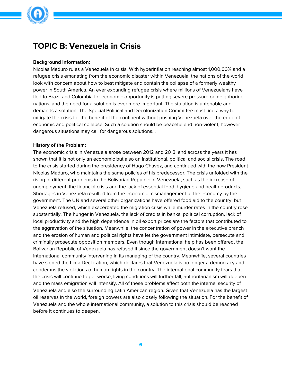

## **TOPIC B: Venezuela in Crisis**

#### **Background information:**

Nicolás Maduro rules a Venezuela in crisis. With hyperinflation reaching almost 1,000,00% and a refugee crisis emanating from the economic disaster within Venezuela, the nations of the world look with concern about how to best mitigate and contain the collapse of a formerly wealthy power in South America. An ever expanding refugee crisis where millions of Venezuelans have fled to Brazil and Colombia for economic opportunity is putting severe pressure on neighboring nations, and the need for a solution is ever more important. The situation is untenable and demands a solution. The Special Political and Decolonization Committee must find a way to mitigate the crisis for the benefit of the continent without pushing Venezuela over the edge of economic and political collapse. Such a solution should be peaceful and non-violent, however dangerous situations may call for dangerous solutions…

#### **History of the Problem:**

The economic crisis in Venezuela arose between 2012 and 2013, and across the years it has shown that it is not only an economic but also an institutional, political and social crisis. The road to the crisis started during the presidency of Hugo Chavez, and continued with the now President Nicolas Maduro, who maintains the same policies of his predecessor. The crisis unfolded with the rising of different problems in the Bolivarian Republic of Venezuela, such as the increase of unemployment, the financial crisis and the lack of essential food, hygiene and health products. Shortages in Venezuela resulted from the economic mismanagement of the economy by the government. The UN and several other organizations have offered food aid to the country, but Venezuela refused, which exacerbated the migration crisis while murder rates in the country rose substantially. The hunger in Venezuela, the lack of credits in banks, political corruption, lack of local productivity and the high dependence in oil export prices are the factors that contributed to the aggravation of the situation. Meanwhile, the concentration of power in the executive branch and the erosion of human and political rights have let the government intimidate, persecute and criminally prosecute opposition members. Even though international help has been offered, the Bolivarian Republic of Venezuela has refused it since the government doesn't want the international community intervening in its managing of the country. Meanwhile, several countries have signed the Lima Declaration, which declares that Venezuela is no longer a democracy and condemns the violations of human rights in the country. The international community fears that the crisis will continue to get worse, living conditions will further fall, authoritarianism will deepen and the mass emigration will intensify. All of these problems affect both the internal security of Venezuela and also the surrounding Latin American region. Given that Venezuela has the largest oil reserves in the world, foreign powers are also closely following the situation. For the benefit of Venezuela and the whole international community, a solution to this crisis should be reached before it continues to deepen.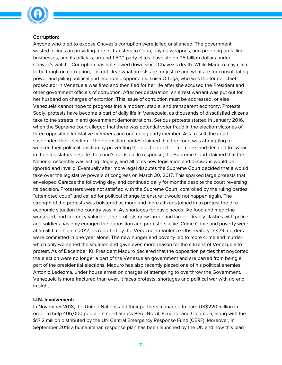

#### **Corruption:**

Anyone who tried to expose Chavez's corruption were jailed or silenced. The government wasted billions on providing free oil transfers to Cuba, buying weapons, and propping up failing businesses, and its officials, around 1,500 party elites, have stolen 95 billion dollars under Chavez's watch . Corruption has not slowed down since Chavez's death. While Maduro may claim to be tough on corruption, it is not clear what arrests are for justice and what are for consolidating power and jailing political and economic opponents. Luisa Ortega, who was the former chief prosecutor in Venezuela was fired and then fled for her life after she accused the President and other government officials of corruption. After her declaration, an arrest warrant was put out for her husband on charges of extortion. This issue of corruption must be addressed, or else Venezuela cannot hope to progress into a modern, stable, and transparent economy. Protests Sadly, protests have become a part of daily life in Venezuela, as thousands of dissatisfied citizens take to the streets in anti government demonstrations. Serious protests started in January 2016, when the Supreme court alleged that there was potential voter fraud in the election victories of three opposition legislative members and one ruling party member. As a result, the court suspended their election . The opposition parties claimed that the court was attempting to weaken their political position by preventing the election of their members and decided to swear in their legislators despite the court's decision. In response, the Supreme Court claimed that the National Assembly was acting illegally, and all of its new legislation and decisions would be ignored and invalid. Eventually after more legal disputes the Supreme Court decided that it would take over the legislative powers of congress on March 30, 2017. This sparked large protests that enveloped Caracas the following day, and continued daily for months despite the court reversing its decision. Protesters were not satisfied with the Supreme Court, controlled by the ruling parties, "attempted coup" and called for political change to ensure it would not happen again. The strength of the protests was bolstered as more and more citizens joined in to protest the dire economic situation the country was in. As shortages for basic needs like food and medicine worsened, and currency value fell, the protests grew larger and larger. Deadly clashes with police and soldiers has only enraged the opposition and protesters alike. Crime Crime and poverty were at an all-time high in 2017, as reported by the Venezuelan Violence Observatory. 7,479 murders were committed in one year alone. The new hunger and poverty led to more crime and murder which only worsened the situation and gave even more reason for the citizens of Venezuela to protest. As of December 10, President Maduro declared that the opposition parties that boycotted the election were no longer a part of the Venezuelan government and are barred from being a part of the presidential elections. Maduro has also recently placed one of his political enemies, Antonio Ledezma, under house arrest on charges of attempting to overthrow the Government. Venezuela is more fractured than ever. It faces protests, shortages and political war with no end in sight.

#### **U.N. Involvement:**

In November 2018, the United Nations and their partners managed to earn US\$220 million in order to help 406,000 people in need across Peru, Brazil, Ecuador and Colombia, along with the \$17.2 million distributed by the UN Central Emergency Response Fund (CERF). Moreover, in September 2018 a humanitarian response plan has been launched by the UN and now this plan